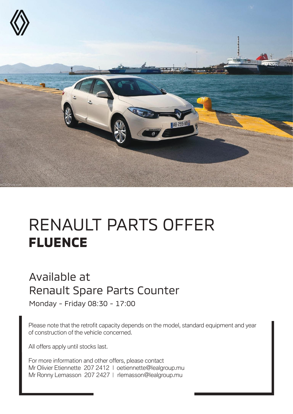

# RENAULT PARTS OFFER **FLUENCE**

#### Available at Renault Spare Parts Counter

Monday - Friday 08:30 - 17:00

Please note that the retrofit capacity depends on the model, standard equipment and year of construction of the vehicle concerned.

All offers apply until stocks last.

For more information and other offers, please contact Mr Olivier Etiennette 207 2412 | oetiennette@lealgroup.mu Mr Ronny Lemasson 207 2427 | rlemasson@lealgroup.mu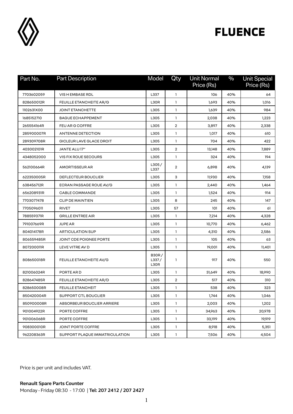

| Part No.   | <b>Part Description</b>        | Model                         | Qty                     | <b>Unit Normal</b><br>Price (Rs) | $\%$ | <b>Unit Special</b><br>Price (Rs) |
|------------|--------------------------------|-------------------------------|-------------------------|----------------------------------|------|-----------------------------------|
| 7703602059 | VIS H EMBASE RDL               | L337                          | 1                       | 106                              | 40%  | 64                                |
| 828650012R | <b>FEUILLE ETANCHEITE AR/G</b> | L30R                          | 1                       | 1,693                            | 40%  | 1,016                             |
| 1102631X00 | <b>JOINT ETANCHETTE</b>        | L305                          | 1                       | 1,639                            | 40%  | 984                               |
| 1685152710 | <b>BAGUE ECHAPPEMENT</b>       | L305                          | $\mathbf{1}$            | 2,038                            | 40%  | 1,223                             |
| 265554164R | <b>FEU AR G COFFRE</b>         | L305                          | $\overline{2}$          | 3,897                            | 40%  | 2,338                             |
| 285900007R | <b>ANTENNE DETECTION</b>       | L305                          | 1                       | 1,017                            | 40%  | 610                               |
| 289309708R | GICLEUR LAVE GLACE DROIT       | L305                          | $\mathbf{1}$            | 704                              | 40%  | 422                               |
| 403002101R | JANTE ALU 17"                  | L305                          | $\overline{\mathbf{2}}$ | 13,148                           | 40%  | 7,889                             |
| 4348052000 | <b>VIS FIX ROUE SECOURS</b>    | L305                          | $\mathbf{1}$            | 324                              | 40%  | 194                               |
| 562100664R | <b>AMORTISSEUR AR</b>          | L305/<br>L337                 | 2                       | 6,898                            | 40%  | 4,139                             |
| 622350005R | DEFLECTEUR BOUCLIER            | L305                          | 3                       | 11,930                           | 40%  | 7,158                             |
| 638456712R | ECRAN PASSAGE ROUE AV/G        | L305                          | $\mathbf{1}$            | 2,440                            | 40%  | 1,464                             |
| 656208931R | <b>CABLE COMMANDE</b>          | L305                          | 1                       | 1,524                            | 40%  | 914                               |
| 7703077478 | <b>CLIP DE MAINTIEN</b>        | L305                          | 8                       | 245                              | 40%  | 147                               |
| 7705096011 | <b>RIVET</b>                   | L305                          | 57                      | 101                              | 40%  | 61                                |
| 788559371R | <b>GRILLE ENTREE AIR</b>       | L305                          | 1                       | 7,214                            | 40%  | 4,328                             |
| 791007669R | <b>JUPE AR</b>                 | L305                          | 1                       | 10,770                           | 40%  | 6,462                             |
| 804014178R | <b>ARTICULATION SUP</b>        | L305                          | $\mathbf{1}$            | 4,310                            | 40%  | 2,586                             |
| 806559485R | JOINT CDE POIGNEE PORTE        | L305                          | 1                       | 105                              | 40%  | 63                                |
| 807200011R | LEVE VITRE AV D                | L305                          | 1                       | 19,001                           | 40%  | 11,401                            |
| 808650018R | FEUILLE ETANCHEITE AV/G        | <b>B30R/</b><br>L337/<br>L30R | $\mathbf{1}$            | 917                              | 40%  | 550                               |
| 821006024R | PORTE ARD                      | L305                          | -1                      | 31,649                           | 40%  | 18.990                            |
| 828647485R | <b>FEUILLE ETANCHEITE AR/D</b> | L305                          | $\overline{2}$          | 517                              | 40%  | 310                               |
| 828650008R | <b>FEUILLE ETANCHEIT</b>       | L305                          | $\mathbf{1}$            | 538                              | 40%  | 323                               |
| 850420004R | SUPPORT CTL BOUCLIER           | L305                          | 1                       | 1,744                            | 40%  | 1,046                             |
| 850900008R | ABSORBEUR BOUCLIER ARRIERE     | L305                          | $\mathbf{1}$            | 2,003                            | 40%  | 1,202                             |
| 901004922R | PORTE COFFRE                   | L305                          | $\mathbf{1}$            | 34,963                           | 40%  | 20,978                            |
| 901006068R | PORTE COFFRE                   | L305                          | $\mathbf{1}$            | 33,199                           | 40%  | 19,919                            |
| 908300010R | JOINT PORTE COFFRE             | L305                          | $\mathbf{1}$            | 8,918                            | 40%  | 5,351                             |
| 962208363R | SUPPORT PLAQUE IMMATRICULATION | L305                          | $\mathbf{1}$            | 7,506                            | 40%  | 4,504                             |

Price is per unit and includes VAT.

**Renault Spare Parts Counter**  Monday - Friday 08:30 - 17:00 | **Tel: 207 2412 / 207 2427**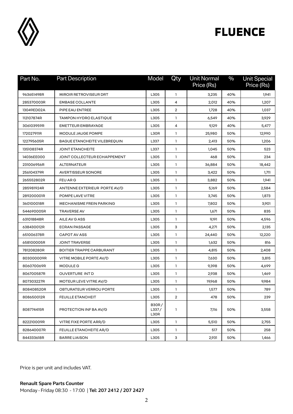

| Part No.   | <b>Part Description</b>             | Model                         | Qty            | <b>Unit Normal</b><br>Price (Rs) | $\%$ | <b>Unit Special</b><br>Price (Rs) |
|------------|-------------------------------------|-------------------------------|----------------|----------------------------------|------|-----------------------------------|
| 963651498R | MIROIR RETROVISEUR DRT              | L305                          | 1              | 3,235                            | 40%  | 1,941                             |
| 285370003R | <b>EMBASE COLLANTE</b>              | L305                          | 4              | 2,012                            | 40%  | 1,207                             |
| 13049ED02A | PIPE EAU ENTREE                     | L305                          | $\overline{2}$ | 1,728                            | 40%  | 1,037                             |
| 112107874R | TAMPON HYDRO ELASTIQUE              | L305                          | 1              | 6,549                            | 40%  | 3,929                             |
| 306103959R | <b>EMETTEUR EMBRAYAGE</b>           | L305                          | 4              | 9,129                            | 40%  | 5,477                             |
| 172027911R | <b>MODULE JAUGE POMPE</b>           | L30R                          | 1              | 25,980                           | 50%  | 12,990                            |
| 122795605R | <b>BAGUE ETANCHEITE VILEBREQUIN</b> | L337                          | $\mathbf{1}$   | 2,413                            | 50%  | 1,206                             |
| 135108374R | <b>JOINT ETANCHEITE</b>             | L337                          | $\mathbf{1}$   | 1,045                            | 50%  | 523                               |
| 14036EE000 | JOINT COLLECTEUR ECHAPPEMENT        | L305                          | $\mathbf{1}$   | 468                              | 50%  | 234                               |
| 231006956R | <b>ALTERNATEUR</b>                  | L305                          | $\mathbf{1}$   | 36,884                           | 50%  | 18,442                            |
| 256104379R | <b>AVERTISSEUR SONORE</b>           | L305                          | $\mathbf{1}$   | 3,422                            | 50%  | 1,711                             |
| 265552802R | FEU AR G                            | L305                          | $\mathbf{1}$   | 3,882                            | 50%  | 1,941                             |
| 285981924R | ANTENNE EXTERIEUR PORTE AV/D        | L305                          | 1              | 5,169                            | 50%  | 2,584                             |
| 289200001R | POMPE LAVE VITRE                    | L305                          | $\mathbf{1}$   | 3,745                            | 50%  | 1,873                             |
| 360100018R | <b>MECHANISME FREIN PARKING</b>     | L305                          | $\mathbf{1}$   | 7,802                            | 50%  | 3,901                             |
| 544690005R | <b>TRAVERSE AV</b>                  | L305                          | $\mathbf{1}$   | 1,671                            | 50%  | 835                               |
| 631018848R | AILE AV G ASS                       | L305                          | $\mathbf{1}$   | 9,191                            | 50%  | 4,596                             |
| 638430012R | <b>ECRAN PASSAGE</b>                | L305                          | 3              | 4,271                            | 50%  | 2,135                             |
| 651006378R | <b>CAPOT AV ASS</b>                 | L305                          | $\mathbf{1}$   | 24,440                           | 50%  | 12,220                            |
| 658100005R | <b>JOINT TRAVERSE</b>               | L305                          | 1              | 1,632                            | 50%  | 816                               |
| 781208280R | <b>BOITIER TRAPPE CARBURANT</b>     | L305                          | $\mathbf{1}$   | 4,815                            | 50%  | 2,408                             |
| 803000009R | VITRE MOBILE PORTE AV/D             | L305                          | $\mathbf{1}$   | 7,630                            | 50%  | 3,815                             |
| 806070069R | <b>MODULE G</b>                     | L305                          | $\mathbf{1}$   | 9,398                            | 50%  | 4,699                             |
| 806700587R | OUVERTURE INT D                     | L305                          | $\mathbf{1}$   | 2,938                            | 50%  | 1,469                             |
| 807303227R | MOTEUR LEVE VITRE AV/D              | L305                          | $\mathbf{1}$   | 19,968                           | 50%  | 9,984                             |
| 808408520R | OBTURATEUR VERROU PORTE             | L305                          | 1              | 1,577                            | 50%  | 789                               |
| 808650012R | <b>FEUILLE ETANCHEIT</b>            | L305                          | 2              | 478                              | 50%  | 239                               |
| 808774415R | PROTECTION INF BA AV/G              | <b>B30R/</b><br>L337/<br>L30R | 1              | 7,116                            | 50%  | 3,558                             |
| 822210009R | VITRE FIXE PORTE ARR/D              | L305                          | $\mathbf{1}$   | 5,510                            | 50%  | 2,755                             |
| 828640007R | FEUILLE ETANCHEITE AR/D             | L305                          | $\mathbf{1}$   | 517                              | 50%  | 258                               |
| 844333618R | <b>BARRE LIAISON</b>                | L305                          | 3              | 2,931                            | 50%  | 1,466                             |

Price is per unit and includes VAT.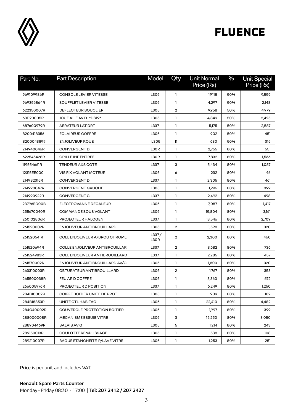

| Part No.   | <b>Part Description</b>              | Model         | Qty                     | <b>Unit Normal</b><br>Price (Rs) | $\%$ | <b>Unit Special</b><br>Price (Rs) |
|------------|--------------------------------------|---------------|-------------------------|----------------------------------|------|-----------------------------------|
| 969109986R | <b>CONSOLE LEVIER VITESSE</b>        | L305          | 1                       | 19,118                           | 50%  | 9,559                             |
| 969356864R | SOUFFLET LEVIER VITESSE              | L305          | $\mathbf{1}$            | 4,297                            | 50%  | 2,148                             |
| 622350007R | <b>DEFLECTEUR BOUCLIER</b>           | L305          | $\overline{2}$          | 9,958                            | 50%  | 4,979                             |
| 631120005R | JOUE AILE AV D *DS19*                | L305          | 1                       | 4,849                            | 50%  | 2,425                             |
| 687600979R | <b>AERATEUR LAT DRT</b>              | L337          | $\mathbf{1}$            | 5,175                            | 50%  | 2,587                             |
| 8200418356 | <b>ECLAIREUR COFFRE</b>              | L305          | 1                       | 902                              | 50%  | 451                               |
| 8200043899 | <b>ENJOLIVEUR ROUE</b>               | L305          | 11                      | 630                              | 50%  | 315                               |
| 214940046R | <b>CONVERGENT D</b>                  | L30R          | $\mathbf{1}$            | 2,755                            | 80%  | 551                               |
| 622545428R | <b>GRILLE INFENTREE</b>              | L30R          | 1                       | 7,832                            | 80%  | 1,566                             |
| 119554661R | <b>TENDEUR AXS COTE</b>              | L337          | 3                       | 5,434                            | 80%  | 1,087                             |
| 12315EE000 | VIS FIX VOLANT MOTEUR                | L305          | 6                       | 232                              | 80%  | 46                                |
| 214982315R | <b>CONVERGENT D</b>                  | L337          | 1                       | 2,305                            | 80%  | 461                               |
| 214990047R | <b>CONVERGENT GAUCHE</b>             | L305          | 1                       | 1,996                            | 80%  | 399                               |
| 214990922R | <b>CONVERGENT G</b>                  | L337          | $\mathbf{1}$            | 2,492                            | 80%  | 498                               |
| 23796ED00B | ELECTROVANNE DECALEUR                | L305          | $\mathbf{1}$            | 7,087                            | 80%  | 1,417                             |
| 255670040R | COMMANDE SOUS VOLANT                 | L305          | $\mathbf{1}$            | 15,804                           | 80%  | 3,161                             |
| 260102806R | PROJECTEUR HALOGEN                   | L337          | 1                       | 13,546                           | 80%  | 2,709                             |
| 261520002R | ENJOLIVEUR ANTIBROUILLARD            | L305          | $\overline{2}$          | 1,598                            | 80%  | 320                               |
| 261520541R | COLL ENJOLIVEUR A/BROU CHROME        | L337/<br>L30R | $\overline{2}$          | 2,300                            | 80%  | 460                               |
| 261520694R | COLLE ENJOLIVEUR ANTIBROUILLAR       | L337          | $\overline{2}$          | 3,682                            | 80%  | 736                               |
| 261524983R | COLL ENJOLIVEUR ANTIBROUILLARD       | L337          | $\mathbf{1}$            | 2,285                            | 80%  | 457                               |
| 261570002R | ENJOLIVEUR ANTIBROUILLARD AV/G       | L305          | $\mathbf{1}$            | 1,600                            | 80%  | 320                               |
| 263310003R | OBTURATEUR ANTIBROUILLARD            | L305          | $\overline{\mathbf{2}}$ | 1,767                            | 80%  | 353                               |
| 265500038R | FEU AR D COFFRE                      | L305          | $\mathbf{1}$            | 3,360                            | 80%  | 672                               |
| 266005976R | PROJECTEUR D POSITION                | L337          | 1                       | 6,249                            | 80%  | 1,250                             |
| 284B10002R | COIFFE BOITIER UNITE DE PROT         | L305          | $\mathbf{1}$            | 909                              | 80%  | 182                               |
| 284B18853R | UNITE CTL HABITAC                    | L305          | 1                       | 22,410                           | 80%  | 4,482                             |
| 284C40002R | COUVERCLE PROTECTION BOITIER         | L305          | $\mathbf{1}$            | 1,997                            | 80%  | 399                               |
| 288000008R | <b>MECANISME ESSUIE VITRE</b>        | L305          | 3                       | 15,250                           | 80%  | 3,050                             |
| 288904469R | <b>BALAIS AV G</b>                   | L305          | 5                       | 1,214                            | 80%  | 243                               |
| 289150013R | GOULOTTE REMPLISSAGE                 | L305          | $\mathbf{1}$            | 538                              | 80%  | 108                               |
| 289210007R | <b>BAGUE ETANCHEITE P/LAVE VITRE</b> | L305          | $\mathbf{1}$            | 1,253                            | 80%  | 251                               |

Price is per unit and includes VAT.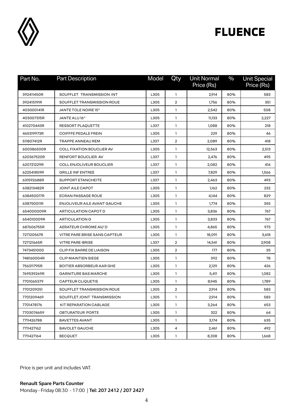

| Part No.   | <b>Part Description</b>          | Model | Qty            | Unit Normal<br>Price (Rs) | $\%$ | <b>Unit Special</b><br>Price (Rs) |
|------------|----------------------------------|-------|----------------|---------------------------|------|-----------------------------------|
| 392411450R | SOUFFLET TRANSMISSION INT        | L305  | $\mathbf{1}$   | 2,914                     | 80%  | 583                               |
| 392415191R | SOUFFLET TRANSMISSION ROUE       | L305  | $\overline{2}$ | 1,756                     | 80%  | 351                               |
| 403000141R | JANTE TOLE NOIRE 15"             | L305  | 1              | 2,542                     | 80%  | 508                               |
| 403007315R | JANTE ALU 16"                    | L305  | 1              | 11,133                    | 80%  | 2,227                             |
| 410270443R | RESSORT PLAQUETTE                | L337  | $\mathbf{1}$   | 1,088                     | 80%  | 218                               |
| 465319973R | <b>COIFFFE PEDALE FREIN</b>      | L305  | 1              | 229                       | 80%  | 46                                |
| 511807412R | TRAPPE ANNEAU REM                | L337  | $\overline{2}$ | 2,089                     | 80%  | 418                               |
| 600386500R | <b>COLL FIXATION BOUCLIER AV</b> | L305  | $\mathbf{1}$   | 12,563                    | 80%  | 2,513                             |
| 620367520R | RENFORT BOUCLIER AV              | L337  | $\mathbf{1}$   | 2,476                     | 80%  | 495                               |
| 620721229R | <b>COLL ENJOLIVEUR BOUCLIER</b>  | L337  | $\mathbf{1}$   | 2,082                     | 80%  | 416                               |
| 622541859R | <b>GRILLE INFENTREE</b>          | L337  | 1              | 7,829                     | 80%  | 1,566                             |
| 631592688R | <b>SUPPORT ETANCHEITE</b>        | L337  | $\mathbf{1}$   | 2,463                     | 80%  | 493                               |
| 638213482R | JOINT AILE CAPOT                 | L305  | $\mathbf{1}$   | 1,162                     | 80%  | 232                               |
| 638450017R | <b>ECRAN PASSAGE ROUE</b>        | L305  | 1              | 4,144                     | 80%  | 829                               |
| 638750011R | ENJOLIVEUR AILE AVANT GAUCHE     | L305  | $\mathbf{1}$   | 1,774                     | 80%  | 355                               |
| 654000009R | ARTICULATION CAPOT D             | L305  | $\mathbf{1}$   | 3,836                     | 80%  | 767                               |
| 654010009R | <b>ARTICULATION G</b>            | L305  | $\mathbf{1}$   | 3,833                     | 80%  | 767                               |
| 687606755R | AERATEUR CHROME AV/D             | L305  | 1              | 4,865                     | 80%  | 973                               |
| 727120567R | VITRE PARE BRISE SANS CAPTEUR    | L305  | $\mathbf{1}$   | 18,091                    | 80%  | 3,618                             |
| 727121665R | <b>VITRE PARE-BRISE</b>          | L337  | $\overline{2}$ | 14,541                    | 80%  | 2,908                             |
| 7473451000 | CLIP FIX BARRE DE LIAISON        | L305  | $\overline{2}$ | 177                       | 80%  | 35                                |
| 748160004R | <b>CLIP MAINTIEN SIEGE</b>       | L305  | $\mathbf{1}$   | 392                       | 80%  | 78                                |
| 756311795R | BOITIER ABSORBEUR AAR GHE        | L305  | $\mathbf{1}$   | 2,129                     | 80%  | 426                               |
| 769539269R | <b>GARNITURE BAS MARCHE</b>      | L305  | $\mathbf{1}$   | 5,411                     | 80%  | 1,082                             |
| 7701065379 | CAPTEUR CLIQUETIS                | L305  | 1              | 8,945                     | 80%  | 1,789                             |
| 7701209251 | SOUFFLET TRANSMISSION ROUE       | L305  | 2              | 2,914                     | 80%  | 583                               |
| 7701209469 | SOUFFLET JOINT TRANSMISSION      | L305  | 1              | 2,914                     | 80%  | 583                               |
| 7701478176 | KIT REPARATION CABLAGE           | L305  | $\mathbf{1}$   | 3,264                     | 80%  | 653                               |
| 7703074659 | OBTURATEUR PORTE                 | L305  | $\mathbf{1}$   | 322                       | 80%  | 64                                |
| 7711426788 | <b>BAVETTES AVANT</b>            | L305  | $\mathbf{1}$   | 3,174                     | 80%  | 635                               |
| 7711427162 | <b>BAVOLET GAUCHE</b>            | L305  | 4              | 2,461                     | 80%  | 492                               |
| 7711427164 | <b>BECOUET</b>                   | L305  | $\mathbf{1}$   | 8,338                     | 80%  | 1,668                             |

Price is per unit and includes VAT.

**Renault Spare Parts Counter**  Monday - Friday 08:30 - 17:00 | **Tel: 207 2412 / 207 2427**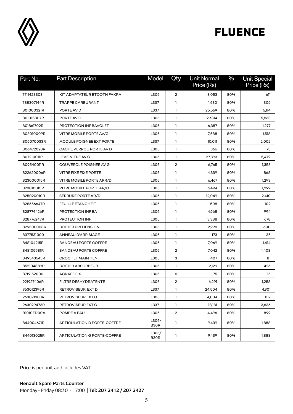

| Part No.   | <b>Part Description</b>      | Model         | Qty            | <b>Unit Normal</b><br>Price (Rs) | $\%$ | <b>Unit Special</b><br>Price (Rs) |
|------------|------------------------------|---------------|----------------|----------------------------------|------|-----------------------------------|
| 7711428303 | KIT ADAPTATEUR BTOOTH FAKRA  | L305          | $\overline{2}$ | 3,053                            | 80%  | 611                               |
| 788307144R | TRAPPE CARBURANT             | L337          | 1              | 1,530                            | 80%  | 306                               |
| 801000321R | PORTE AV D                   | L337          | 1              | 25,569                           | 80%  | 5,114                             |
| 801015807R | PORTE AV G                   | L305          | 1              | 29,314                           | 80%  | 5,863                             |
| 801861702R | PROTECTION INF BAVOLET       | L305          | 1              | 6,387                            | 80%  | 1,277                             |
| 803010009R | VITRE MOBILE PORTE AV/G      | L305          | 1              | 7,588                            | 80%  | 1,518                             |
| 806070033R | MODULE POIGNEE EXT PORTE     | L337          | $\mathbf{1}$   | 10,011                           | 80%  | 2,002                             |
| 806472028R | CACHE VERROU PORTE AV D      | L305          | 1              | 366                              | 80%  | 73                                |
| 807210011R | LEVE-VITRE AV G              | L305          | $\mathbf{1}$   | 27,393                           | 80%  | 5,479                             |
| 809540011R | COUVERCLE POIGNEE AV G       | L305          | $\overline{2}$ | 6,765                            | 80%  | 1,353                             |
| 822620006R | <b>VITRE FIXE FIXE PORTE</b> | L305          | $\mathbf{1}$   | 4,339                            | 80%  | 868                               |
| 823000015R | VITRE MOBILE PORTE ARR/D     | L305          | $\mathbf{1}$   | 6,467                            | 80%  | 1,293                             |
| 823010015R | VITRE MOBILE PORTE AR/G      | L305          | 1              | 6,494                            | 80%  | 1,299                             |
| 825020010R | SERRURE PORTE AR/D           | L305          | 1              | 12,049                           | 80%  | 2,410                             |
| 828656647R | <b>FEUILLE ETANCHEIT</b>     | L305          | 1              | 508                              | 80%  | 102                               |
| 828774426R | PROTECTION INF BA            | L305          | 1              | 4,968                            | 80%  | 994                               |
| 828776247R | PROTECTION INF               | L305          | 1              | 3,388                            | 80%  | 678                               |
| 829500008R | <b>BOITIER PREHENSION</b>    | L305          | 1              | 2,998                            | 80%  | 600                               |
| 8377531000 | ANNEAU D'ARRIMAGE            | L305          | $\mathbf{1}$   | 173                              | 80%  | 35                                |
| 848104215R | <b>BANDEAU PORTE COFFRE</b>  | L305          | 1              | 7,069                            | 80%  | 1,414                             |
| 848105981R | <b>BANDEAU PORTE COFFRE</b>  | L305          | $\overline{2}$ | 7,042                            | 80%  | 1,408                             |
| 849343543R | <b>CROCHET MAINTIEN</b>      | L305          | 3              | 407                              | 80%  | 81                                |
| 852104889R | <b>BOITIER ABSORBEUR</b>     | L305          | 1              | 2,129                            | 80%  | 426                               |
| 8719152000 | <b>AGRAFE FIX</b>            | L305          | 6              | 75                               | 80%  | 15                                |
| 921927406R | FILTRE DESHYDRATENTE         | L305          | $\overline{2}$ | 6,291                            | 80%  | 1,258                             |
| 963012395R | RETROVISEUR EXT D            | L337          | 1              | 24,504                           | 80%  | 4,901                             |
| 963021303R | RETROVISEUR EXT G            | L305          | 1              | 4,084                            | 80%  | 817                               |
| 963029473R | <b>RETROVISEUR EXT G</b>     | L337          | $\mathbf{1}$   | 18,181                           | 80%  | 3,636                             |
| B1010ED00A | POMPE A EAU                  | L305          | $\overline{2}$ | 4,496                            | 80%  | 899                               |
| 844004671R | ARTICULATION D PORTE-COFFRE  | L305/<br>B30R | 1              | 9,439                            | 80%  | 1,888                             |
| 844013025R | ARTICULATION G PORTE-COFFRE  | L305/<br>B30R | 1              | 9,439                            | 80%  | 1,888                             |

Price is per unit and includes VAT.

**Renault Spare Parts Counter**  Monday - Friday 08:30 - 17:00 | **Tel: 207 2412 / 207 2427**